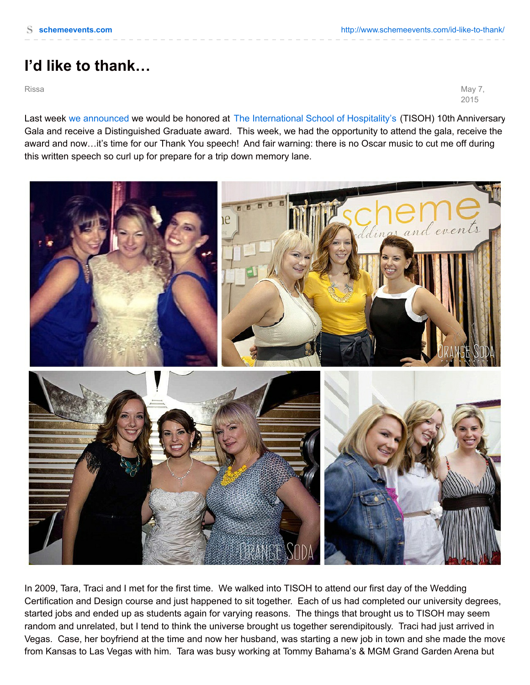## **I'd like to thank…**

Rissa May 7, 2015

Last week we [announced](http://www.schemeevents.com/and-the-award-goes-to/) we would be honored at The [International](http://www.tisoh.com/) School of Hospitality's (TISOH) 10th Anniversary Gala and receive a Distinguished Graduate award. This week, we had the opportunity to attend the gala, receive the award and now…it's time for our Thank You speech! And fair warning: there is no Oscar music to cut me off during this written speech so curl up for prepare for a trip down memory lane.



In 2009, Tara, Traci and I met for the first time. We walked into TISOH to attend our first day of the Wedding Certification and Design course and just happened to sit together. Each of us had completed our university degrees, started jobs and ended up as students again for varying reasons. The things that brought us to TISOH may seem random and unrelated, but I tend to think the universe brought us together serendipitously. Traci had just arrived in Vegas. Case, her boyfriend at the time and now her husband, was starting a new job in town and she made the move from Kansas to Las Vegas with him. Tara was busy working at Tommy Bahama's & MGM Grand Garden Arena but